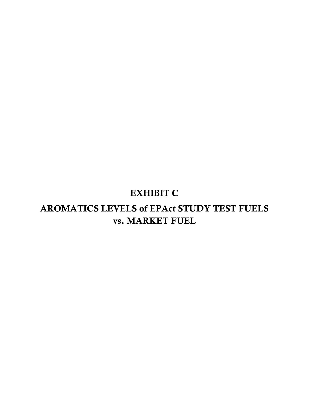# EXHIBIT C

## AROMATICS LEVELS of EPAct STUDY TEST FUELS vs. MARKET FUEL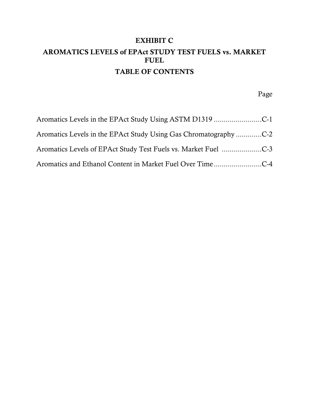### EXHIBIT C AROMATICS LEVELS of EPAct STUDY TEST FUELS vs. MARKET FUEL TABLE OF CONTENTS

Page

| Aromatics Levels in the EPAct Study Using Gas Chromatography C-2 |
|------------------------------------------------------------------|
|                                                                  |
|                                                                  |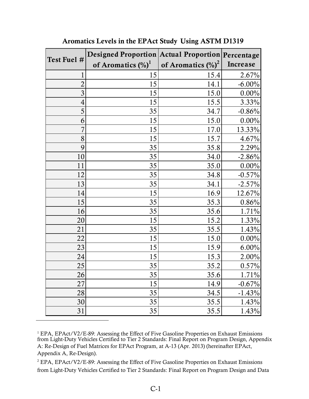<span id="page-2-0"></span>

|                | Designed Proportion   Actual Proportion   Percentage |                       |           |
|----------------|------------------------------------------------------|-----------------------|-----------|
| Test Fuel #    | of Aromatics $(\%)^1$                                | of Aromatics $(\%)^2$ | Increase  |
| Ī              | 15                                                   | 15.4                  | 2.67%     |
| $\overline{2}$ | 15                                                   | 14.1                  | $-6.00\%$ |
| 3              | 15                                                   | 15.0                  | $0.00\%$  |
| 4              | 15                                                   | 15.5                  | 3.33%     |
| 5              | 35                                                   | 34.7                  | $-0.86%$  |
| 6              | 15                                                   | 15.0                  | $0.00\%$  |
|                | 15                                                   | 17.0                  | 13.33%    |
| 8              | 15                                                   | 15.7                  | 4.67%     |
| 9              | 35                                                   | 35.8                  | 2.29%     |
| 10             | 35                                                   | 34.0                  | $-2.86%$  |
| 11             | 35                                                   | 35.0                  | $0.00\%$  |
| 12             | 35                                                   | 34.8                  | $-0.57%$  |
| 13             | 35                                                   | 34.1                  | $-2.57%$  |
| 14             | 15                                                   | 16.9                  | 12.67%    |
| 15             | 35                                                   | 35.3                  | 0.86%     |
| 16             | 35                                                   | 35.6                  | 1.71%     |
| 20             | 15                                                   | 15.2                  | 1.33%     |
| 21             | 35                                                   | 35.5                  | 1.43%     |
| 22             | 15                                                   | 15.0                  | 0.00%     |
| 23             | 15                                                   | 15.9                  | $6.00\%$  |
| 24             | 15                                                   | 15.3                  | 2.00%     |
| 25             | 35                                                   | 35.2                  | 0.57%     |
| 26             | 35                                                   | 35.6                  | 1.71%     |
| 27             | 15                                                   | 14.9                  | $-0.67%$  |
| 28             | 35                                                   | 34.5                  | $-1.43%$  |
| 30             | 35                                                   | 35.5                  | 1.43%     |
| 31             | 35                                                   | 35.5                  | 1.43%     |

Aromatics Levels in the EPAct Study Using ASTM D1319

<sup>1</sup> EPA, EPAct/V2/E-89: Assessing the Effect of Five Gasoline Properties on Exhaust Emissions from Light-Duty Vehicles Certified to Tier 2 Standards: Final Report on Program Design, Appendix A: Re-Design of Fuel Matrices for EPAct Program, at A-13 (Apr. 2013) (hereinafter EPAct, Appendix A, Re-Design).

<sup>2</sup> EPA, EPAct/V2/E-89: Assessing the Effect of Five Gasoline Properties on Exhaust Emissions from Light-Duty Vehicles Certified to Tier 2 Standards: Final Report on Program Design and Data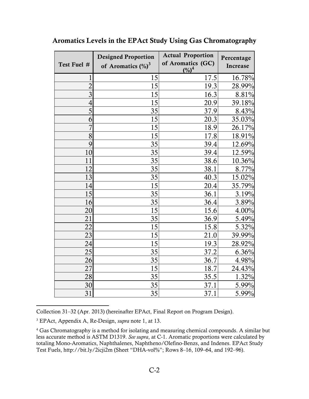|                | <b>Designed Proportion</b> | <b>Actual Proportion</b>      | Percentage |
|----------------|----------------------------|-------------------------------|------------|
| Test Fuel #    | of Aromatics $(\%)^3$      | of Aromatics (GC)<br>$(\%)^4$ | Increase   |
|                | 15                         | 17.5                          | 16.78%     |
| $\overline{2}$ | 15                         | 19.3                          | 28.99%     |
| $\overline{3}$ | 15                         | 16.3                          | 8.81%      |
| $\overline{4}$ | 15                         | 20.9                          | 39.18%     |
| 5              | 35                         | 37.9                          | 8.43%      |
| 6              | 15                         | 20.3                          | 35.03%     |
| 7              | 15                         | 18.9                          | 26.17%     |
| 8              | 15                         | 17.8                          | 18.91%     |
| 9              | 35                         | 39.4                          | 12.69%     |
| 10             | 35                         | 39.4                          | 12.59%     |
| 11             | 35                         | 38.6                          | 10.36%     |
| 12             | 35                         | 38.1                          | 8.77%      |
| 13             | 35                         | 40.3                          | 15.02%     |
| 14             | 15                         | 20.4                          | 35.79%     |
| 15             | 35                         | 36.1                          | 3.19%      |
| 16             | 35                         | 36.4                          | 3.89%      |
| 20             | 15                         | 15.6                          | 4.00%      |
| 21             | 35                         | 36.9                          | $5.49\%$   |
| 22             | 15                         | 15.8                          | 5.32%      |
| 23             | 15                         | 21.0                          | 39.99%     |
| 24             | 15                         | 19.3                          | 28.92%     |
| 25             | 35                         | 37.2                          | $6.36\%$   |
| 26             | 35                         | 36.7                          | 4.98%      |
| 27             | 15                         | 18.7                          | 24.43%     |
| 28             | 35                         | 35.5                          | 1.32%      |
| 30             | 35                         | 37.1                          | 5.99%      |
| 31             | 35                         | 37.1                          | 5.99%      |

### <span id="page-3-0"></span>Aromatics Levels in the EPAct Study Using Gas Chromatography

Collection 31–32 (Apr. 2013) (hereinafter EPAct, Final Report on Program Design).

3 EPAct, Appendix A, Re-Design, *supra* note 1, at 13.

<sup>4</sup> Gas Chromatography is a method for isolating and measuring chemical compounds. A similar but less accurate method is ASTM D1319. *See supra*, at C-1. Aromatic proportions were calculated by totaling Mono-Aromatics, Naphthalenes, Naphtheno/Olefino-Benzs, and Indenes. EPAct Study Test Fuels, http://bit.ly/2icji2m (Sheet "DHA-vol%"; Rows 8–16, 109–64, and 192–96).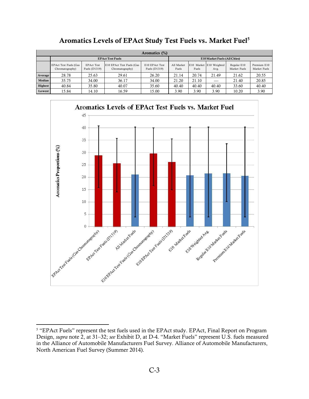<span id="page-4-0"></span>

| Aromatics $(\% )$ |                                                 |                                    |                                              |                                      |                     |       |                                 |                             |                             |
|-------------------|-------------------------------------------------|------------------------------------|----------------------------------------------|--------------------------------------|---------------------|-------|---------------------------------|-----------------------------|-----------------------------|
|                   | <b>EPAct Test Fuels</b>                         |                                    |                                              | <b>E10 Market Fuels (All Cities)</b> |                     |       |                                 |                             |                             |
|                   | <b>EPAct Test Fuels (Gas</b><br>Chromatography) | <b>EPAct Test</b><br>Fuels (D1319) | E10 EPAct Test Fuels (Gas<br>Chromatography) | E10 EPAct Test<br>Fuels (D1319)      | All Market<br>Fuels | Fuels | E10 Market E10 Weighted<br>Avg. | Regular E10<br>Market Fuels | Premium E10<br>Market Fuels |
| Average           | 28.78                                           | 25.63                              | 29.61                                        | 26.20                                | 21.14               | 20.74 | 21.49                           | 21.62                       | 20.55                       |
| Median            | 35.75                                           | 34.00                              | 36.17                                        | 34.00                                | 21.20               | 21.10 | $---$                           | 21.40                       | 20.85                       |
| Highest           | 40.84                                           | 35.80                              | 40.07                                        | 35.60                                | 40.40               | 40.40 | 40.40                           | 33.60                       | 40.40                       |
| Lowest            | 15.84                                           | 14.10                              | 16.59                                        | 15.00                                | 3.90                | 3.90  | 3.90                            | 10.20                       | 3.90                        |

### Aromatics Levels of EPAct Study Test Fuels vs. Market Fuel<sup>5</sup>



 $\overline{a}$ 

<sup>&</sup>lt;sup>5</sup> "EPAct Fuels" represent the test fuels used in the EPAct study. EPAct, Final Report on Program Design, *supra* note 2, at 31–32; *see* Exhibit D, at D-4. "Market Fuels" represent U.S. fuels measured in the Alliance of Automobile Manufacturers Fuel Survey. Alliance of Automobile Manufacturers, North American Fuel Survey (Summer 2014).